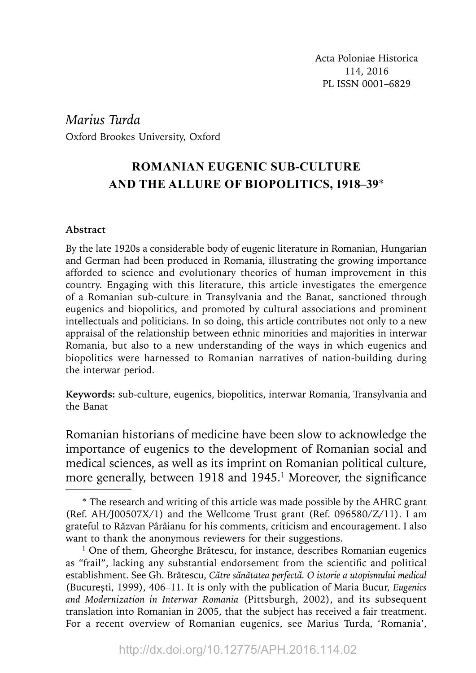Acta Poloniae Historica 114, 2016 PL ISSN 0001–6829

*Marius Turda* Oxford Brookes University, Oxford

# **ROMANIAN EUGENIC SUB-CULTURE AND THE ALLURE OF BIOPOLITICS, 1918–39**\*

### **Abstract**

By the late 1920s a considerable body of eugenic literature in Romanian, Hungarian and German had been produced in Romania, illustrating the growing importance afforded to science and evolutionary theories of human improvement in this country. Engaging with this literature, this article investigates the emergence of a Romanian sub-culture in Transylvania and the Banat, sanctioned through eugenics and biopolitics, and promoted by cultural associations and prominent intellectuals and politicians. In so doing, this article contributes not only to a new appraisal of the relationship between ethnic minorities and majorities in interwar Romania, but also to a new understanding of the ways in which eugenics and biopolitics were harnessed to Romanian narratives of nation-building during the interwar period.

**Keywords:** sub-culture, eugenics, biopolitics, interwar Romania, Transylvania and the Banat

Romanian historians of medicine have been slow to acknowledge the importance of eugenics to the development of Romanian social and medical sciences, as well as its imprint on Romanian political culture, more generally, between 1918 and 1945.<sup>1</sup> Moreover, the significance

<sup>\*</sup> The research and writing of this article was made possible by the AHRC grant (Ref. AH/J00507X/1) and the Wellcome Trust grant (Ref. 096580/Z/11). I am grateful to Răzvan Pârâianu for his comments, criticism and encouragement. I also want to thank the anonymous reviewers for their suggestions.

 $1$  One of them, Gheorghe Brătescu, for instance, describes Romanian eugenics as "frail", lacking any substantial endorsement from the scientific and political establishment. See Gh. Brătescu, *Către sănătatea perfectă. O istorie a utopismului medical* (Bucureşti, 1999), 406–11. It is only with the publication of Maria Bucur, *Eugenics and Modernization in Interwar Romania* (Pittsburgh, 2002), and its subsequent translation into Romanian in 2005, that the subject has received a fair treatment. For a recent overview of Romanian eugenics, see Marius Turda, 'Romania',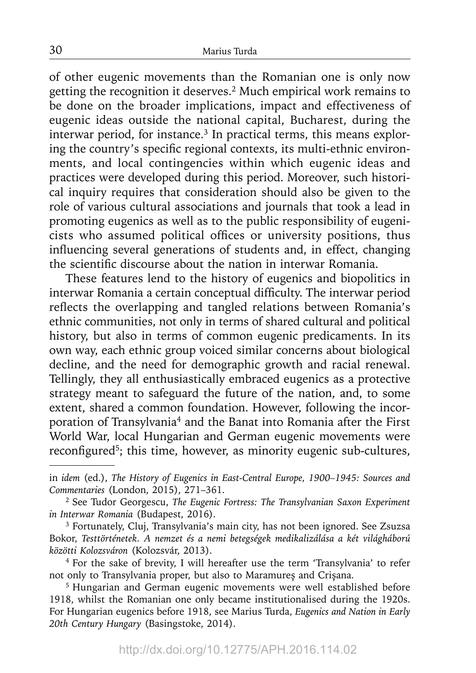of other eugenic movements than the Romanian one is only now getting the recognition it deserves.2 Much empirical work remains to be done on the broader implications, impact and effectiveness of eugenic ideas outside the national capital, Bucharest, during the interwar period, for instance.<sup>3</sup> In practical terms, this means exploring the country's specific regional contexts, its multi-ethnic environments, and local contingencies within which eugenic ideas and practices were developed during this period. Moreover, such historical inquiry requires that consideration should also be given to the role of various cultural associations and journals that took a lead in promoting eugenics as well as to the public responsibility of eugenicists who assumed political offices or university positions, thus influencing several generations of students and, in effect, changing the scientific discourse about the nation in interwar Romania.

These features lend to the history of eugenics and biopolitics in interwar Romania a certain conceptual difficulty. The interwar period reflects the overlapping and tangled relations between Romania's ethnic communities, not only in terms of shared cultural and political history, but also in terms of common eugenic predicaments. In its own way, each ethnic group voiced similar concerns about biological decline, and the need for demographic growth and racial renewal. Tellingly, they all enthusiastically embraced eugenics as a protective strategy meant to safeguard the future of the nation, and, to some extent, shared a common foundation. However, following the incorporation of Transylvania<sup>4</sup> and the Banat into Romania after the First World War, local Hungarian and German eugenic movements were reconfigured<sup>5</sup>; this time, however, as minority eugenic sub-cultures,

in *idem* (ed.), *The History of Eugenics in East-Central Europe, 1900–1945: Sources and Commentaries* (London, 2015), 271–361.

<sup>2</sup> See Tudor Georgescu, *The Eugenic Fortress: The Transylvanian Saxon Experiment in Interwar Romania* (Budapest, 2016).

<sup>&</sup>lt;sup>3</sup> Fortunately, Cluj, Transylvania's main city, has not been ignored. See Zsuzsa Bokor, *Testtörténetek. A nemzet és a nemi betegségek medikalizálása a két világháború közötti Kolozsváron* (Kolozsvár, 2013).

<sup>4</sup> For the sake of brevity, I will hereafter use the term 'Transylvania' to refer not only to Transylvania proper, but also to Maramureș and Crișana. 5 Hungarian and German eugenic movements were well established before

<sup>1918,</sup> whilst the Romanian one only became institutionalised during the 1920s. For Hungarian eugenics before 1918, see Marius Turda, *Eugenics and Nation in Early 20th Century Hungary* (Basingstoke, 2014).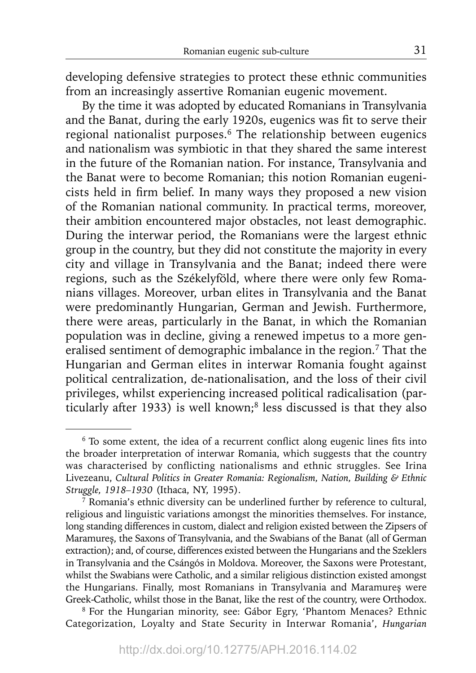developing defensive strategies to protect these ethnic communities from an increasingly assertive Romanian eugenic movement.

By the time it was adopted by educated Romanians in Transylvania and the Banat, during the early 1920s, eugenics was fit to serve their regional nationalist purposes.<sup>6</sup> The relationship between eugenics and nationalism was symbiotic in that they shared the same interest in the future of the Romanian nation. For instance, Transylvania and the Banat were to become Romanian; this notion Romanian eugenicists held in firm belief. In many ways they proposed a new vision of the Romanian national community. In practical terms, moreover, their ambition encountered major obstacles, not least demographic. During the interwar period, the Romanians were the largest ethnic group in the country, but they did not constitute the majority in every city and village in Transylvania and the Banat; indeed there were regions, such as the Székelyföld, where there were only few Romanians villages. Moreover, urban elites in Transylvania and the Banat were predominantly Hungarian, German and Jewish. Furthermore, there were areas, particularly in the Banat, in which the Romanian population was in decline, giving a renewed impetus to a more generalised sentiment of demographic imbalance in the region.<sup>7</sup> That the Hungarian and German elites in interwar Romania fought against political centralization, de-nationalisation, and the loss of their civil privileges, whilst experiencing increased political radicalisation (particularly after 1933) is well known;<sup>8</sup> less discussed is that they also

8 For the Hungarian minority, see: Gábor Egry, 'Phantom Menaces? Ethnic Categorization, Loyalty and State Security in Interwar Romania', *Hungarian* 

 $6$  To some extent, the idea of a recurrent conflict along eugenic lines fits into the broader interpretation of interwar Romania, which suggests that the country was characterised by conflicting nationalisms and ethnic struggles. See Irina Livezeanu, *Cultural Politics in Greater Romania: Regionalism, Nation, Building & Ethnic Struggle, 1918–1930* (Ithaca, NY, 1995).

 $\frac{7}{7}$  Romania's ethnic diversity can be underlined further by reference to cultural, religious and linguistic variations amongst the minorities themselves. For instance, long standing differences in custom, dialect and religion existed between the Zipsers of Maramureș, the Saxons of Transylvania, and the Swabians of the Banat (all of German extraction); and, of course, differences existed between the Hungarians and the Szeklers in Transylvania and the Csángós in Moldova. Moreover, the Saxons were Protestant, whilst the Swabians were Catholic, and a similar religious distinction existed amongst the Hungarians. Finally, most Romanians in Transylvania and Maramureș were Greek-Catholic, whilst those in the Banat, like the rest of the country, were Orthodox.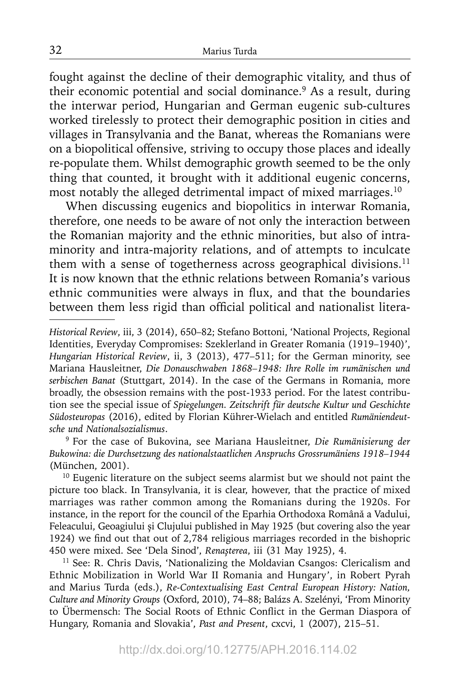fought against the decline of their demographic vitality, and thus of their economic potential and social dominance.<sup>9</sup> As a result, during the interwar period, Hungarian and German eugenic sub-cultures worked tirelessly to protect their demographic position in cities and villages in Transylvania and the Banat, whereas the Romanians were on a biopolitical offensive, striving to occupy those places and ideally re-populate them. Whilst demographic growth seemed to be the only thing that counted, it brought with it additional eugenic concerns, most notably the alleged detrimental impact of mixed marriages.10

When discussing eugenics and biopolitics in interwar Romania, therefore, one needs to be aware of not only the interaction between the Romanian majority and the ethnic minorities, but also of intraminority and intra-majority relations, and of attempts to inculcate them with a sense of togetherness across geographical divisions. $11$ It is now known that the ethnic relations between Romania's various ethnic communities were always in flux, and that the boundaries between them less rigid than official political and nationalist litera-

9 For the case of Bukovina, see Mariana Hausleitner, *Die Rumänisierung der Bukowina: die Durchsetzung des nationalstaatlichen Anspruchs Grossrumäniens 1918–1944* (München, 2001).

<sup>10</sup> Eugenic literature on the subject seems alarmist but we should not paint the picture too black. In Transylvania, it is clear, however, that the practice of mixed marriages was rather common among the Romanians during the 1920s. For instance, in the report for the council of the Eparhia Orthodoxa Română a Vadului, Feleacului, Geoagiului și Clujului published in May 1925 (but covering also the year 1924) we find out that out of 2,784 religious marriages recorded in the bishopric 450 were mixed. See 'Dela Sinod', *Renașterea*, iii (31 May 1925), 4.

<sup>11</sup> See: R. Chris Davis, 'Nationalizing the Moldavian Csangos: Clericalism and Ethnic Mobilization in World War II Romania and Hungary', in Robert Pyrah and Marius Turda (eds.), *Re-Contextualising East Central European History: Nation, Culture and Minority Groups* (Oxford, 2010), 74–88; Balázs A. Szelényi, 'From Minority to Übermensch: The Social Roots of Ethnic Conflict in the German Diaspora of Hungary, Romania and Slovakia', *Past and Present*, cxcvi, 1 (2007), 215–51.

*Historical Review*, iii, 3 (2014), 650–82; Stefano Bottoni, 'National Projects, Regional Identities, Everyday Compromises: Szeklerland in Greater Romania (1919–1940)', *Hungarian Historical Review*, ii, 3 (2013), 477–511; for the German minority, see Mariana Hausleitner, *Die Donauschwaben 1868–1948: Ihre Rolle im rumänischen und serbischen Banat* (Stuttgart, 2014). In the case of the Germans in Romania, more broadly, the obsession remains with the post-1933 period. For the latest contribution see the special issue of *Spiegelungen. Zeitschrift für deutsche Kultur und Geschichte Südosteuropas* (2016), edited by Florian Kührer-Wielach and entitled *Rumäniendeutsche und Nationalsozialismus*.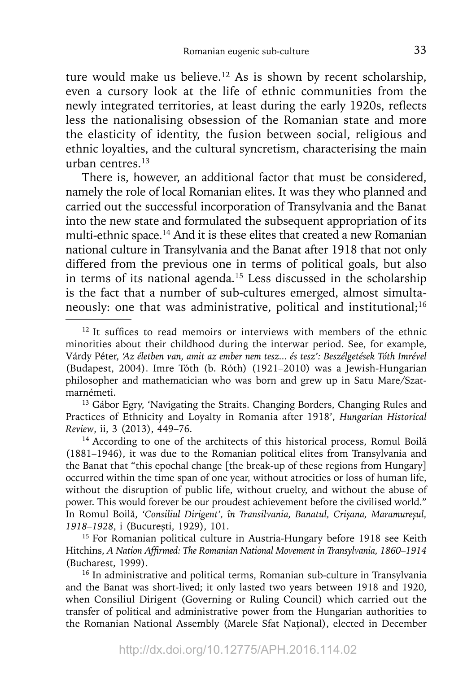ture would make us believe.<sup>12</sup> As is shown by recent scholarship, even a cursory look at the life of ethnic communities from the newly integrated territories, at least during the early 1920s, reflects less the nationalising obsession of the Romanian state and more the elasticity of identity, the fusion between social, religious and ethnic loyalties, and the cultural syncretism, characterising the main urban centres.13

There is, however, an additional factor that must be considered, namely the role of local Romanian elites. It was they who planned and carried out the successful incorporation of Transylvania and the Banat into the new state and formulated the subsequent appropriation of its multi-ethnic space.<sup>14</sup> And it is these elites that created a new Romanian national culture in Transylvania and the Banat after 1918 that not only differed from the previous one in terms of political goals, but also in terms of its national agenda.15 Less discussed in the scholarship is the fact that a number of sub-cultures emerged, almost simultaneously: one that was administrative, political and institutional;<sup>16</sup>

 $12$  It suffices to read memoirs or interviews with members of the ethnic minorities about their childhood during the interwar period. See, for example, Várdy Péter, *'Az életben van, amit az ember nem tesz... és tesz': Beszélgetések Tóth Imrével* (Budapest, 2004). Imre Tóth (b. Róth) (1921–2010) was a Jewish-Hungarian philosopher and mathematician who was born and grew up in Satu Mare/Szatmarnémeti.

<sup>&</sup>lt;sup>13</sup> Gábor Egry, 'Navigating the Straits. Changing Borders, Changing Rules and Practices of Ethnicity and Loyalty in Romania after 1918', *Hungarian Historical Review*, ii, 3 (2013), 449–76.

<sup>&</sup>lt;sup>14</sup> According to one of the architects of this historical process, Romul Boilă (1881–1946), it was due to the Romanian political elites from Transylvania and the Banat that "this epochal change [the break-up of these regions from Hungary] occurred within the time span of one year, without atrocities or loss of human life, without the disruption of public life, without cruelty, and without the abuse of power. This would forever be our proudest achievement before the civilised world." In Romul Boilă, *'Consiliul Dirigent', în Transilvania, Banatul, Crișana, Maramureșul,* 

*<sup>1918–1928</sup>*, i (Bucureşti, 1929), 101. 15 For Romanian political culture in Austria-Hungary before 1918 see Keith Hitchins, *A Nation Affirmed: The Romanian National Movement in Transylvania, 1860–1914* (Bucharest, 1999).

<sup>&</sup>lt;sup>16</sup> In administrative and political terms, Romanian sub-culture in Transylvania and the Banat was short-lived; it only lasted two years between 1918 and 1920, when Consiliul Dirigent (Governing or Ruling Council) which carried out the transfer of political and administrative power from the Hungarian authorities to the Romanian National Assembly (Marele Sfat Naţional), elected in December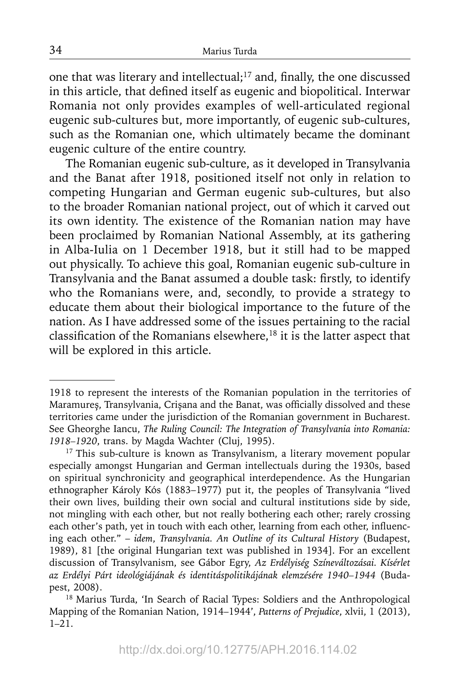one that was literary and intellectual;<sup>17</sup> and, finally, the one discussed in this article, that defined itself as eugenic and biopolitical. Interwar Romania not only provides examples of well-articulated regional eugenic sub-cultures but, more importantly, of eugenic sub-cultures, such as the Romanian one, which ultimately became the dominant eugenic culture of the entire country.

The Romanian eugenic sub-culture, as it developed in Transylvania and the Banat after 1918, positioned itself not only in relation to competing Hungarian and German eugenic sub-cultures, but also to the broader Romanian national project, out of which it carved out its own identity. The existence of the Romanian nation may have been proclaimed by Romanian National Assembly, at its gathering in Alba-Iulia on 1 December 1918, but it still had to be mapped out physically. To achieve this goal, Romanian eugenic sub-culture in Transylvania and the Banat assumed a double task: firstly, to identify who the Romanians were, and, secondly, to provide a strategy to educate them about their biological importance to the future of the nation. As I have addressed some of the issues pertaining to the racial classification of the Romanians elsewhere, $18$  it is the latter aspect that will be explored in this article.

<sup>1918</sup> to represent the interests of the Romanian population in the territories of Maramureș, Transylvania, Crișana and the Banat, was officially dissolved and these territories came under the jurisdiction of the Romanian government in Bucharest. See Gheorghe Iancu, *The Ruling Council: The Integration of Transylvania into Romania: 1918–1920*, trans. by Magda Wachter (Cluj, 1995).

<sup>&</sup>lt;sup>17</sup> This sub-culture is known as Transylvanism, a literary movement popular especially amongst Hungarian and German intellectuals during the 1930s, based on spiritual synchronicity and geographical interdependence. As the Hungarian ethnographer Károly Kós (1883–1977) put it, the peoples of Transylvania "lived their own lives, building their own social and cultural institutions side by side, not mingling with each other, but not really bothering each other; rarely crossing each other's path, yet in touch with each other, learning from each other, influencing each other." – *idem*, *Transylvania. An Outline of its Cultural History* (Budapest, 1989), 81 [the original Hungarian text was published in 1934]. For an excellent discussion of Transylvanism, see Gábor Egry, *Az Erdélyiség Színeváltozásai. Kísérlet az Erdélyi Párt ideológiájának és identitáspolitikájának elemzésére 1940–1944* (Budapest, 2008).

<sup>&</sup>lt;sup>18</sup> Marius Turda, 'In Search of Racial Types: Soldiers and the Anthropological Mapping of the Romanian Nation, 1914–1944', *Patterns of Prejudice*, xlvii, 1 (2013), 1–21.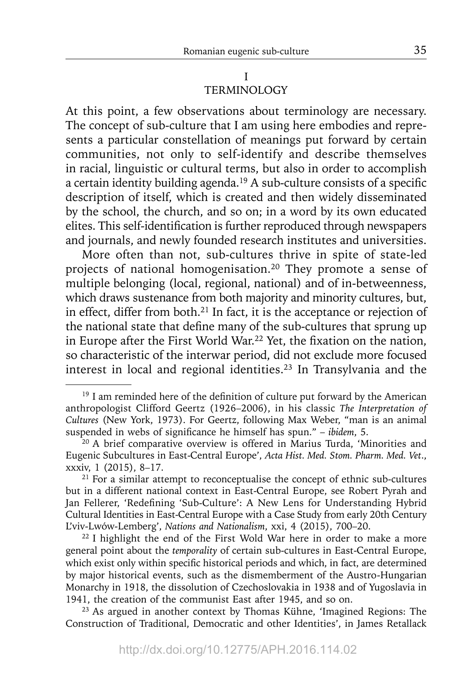### I TERMINOLOGY

At this point, a few observations about terminology are necessary. The concept of sub-culture that I am using here embodies and represents a particular constellation of meanings put forward by certain communities, not only to self-identify and describe themselves in racial, linguistic or cultural terms, but also in order to accomplish a certain identity building agenda.<sup>19</sup> A sub-culture consists of a specific description of itself, which is created and then widely disseminated by the school, the church, and so on; in a word by its own educated elites. This self-identification is further reproduced through newspapers and journals, and newly founded research institutes and universities.

More often than not, sub-cultures thrive in spite of state-led projects of national homogenisation.20 They promote a sense of multiple belonging (local, regional, national) and of in-betweenness, which draws sustenance from both majority and minority cultures, but, in effect, differ from both.<sup>21</sup> In fact, it is the acceptance or rejection of the national state that define many of the sub-cultures that sprung up in Europe after the First World War.<sup>22</sup> Yet, the fixation on the nation, so characteristic of the interwar period, did not exclude more focused interest in local and regional identities.<sup>23</sup> In Transylvania and the

 $19$  I am reminded here of the definition of culture put forward by the American anthropologist Clifford Geertz (1926–2006), in his classic *The Interpretation of Cultures* (New York, 1973). For Geertz, following Max Weber, "man is an animal suspended in webs of significance he himself has spun." - *ibidem*, 5.

<sup>&</sup>lt;sup>20</sup> A brief comparative overview is offered in Marius Turda, 'Minorities and Eugenic Subcultures in East-Central Europe', *Acta Hist. Med. Stom. Pharm. Med. Vet*., xxxiv, 1 (2015), 8–17.<br><sup>21</sup> For a similar attempt to reconceptualise the concept of ethnic sub-cultures

but in a different national context in East-Central Europe, see Robert Pyrah and Jan Fellerer, 'Redefining 'Sub-Culture': A New Lens for Understanding Hybrid Cultural Identities in East-Central Europe with a Case Study from early 20th Century L'viv-Lwów-Lemberg', *Nations and Nationalism*, xxi, 4 (2015), 700–20.

<sup>&</sup>lt;sup>22</sup> I highlight the end of the First Wold War here in order to make a more general point about the *temporality* of certain sub-cultures in East-Central Europe, which exist only within specific historical periods and which, in fact, are determined by major historical events, such as the dismemberment of the Austro-Hungarian Monarchy in 1918, the dissolution of Czechoslovakia in 1938 and of Yugoslavia in 1941, the creation of the communist East after 1945, and so on.

<sup>23</sup> As argued in another context by Thomas Kühne, 'Imagined Regions: The Construction of Traditional, Democratic and other Identities', in James Retallack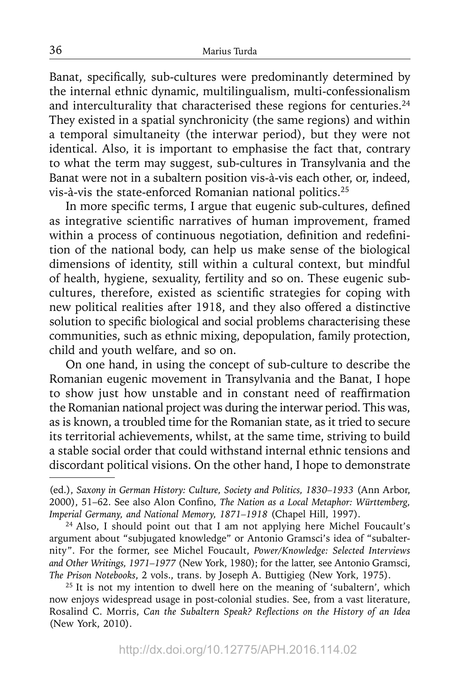Banat, specifically, sub-cultures were predominantly determined by the internal ethnic dynamic, multilingualism, multi-confessionalism and interculturality that characterised these regions for centuries.<sup>24</sup> They existed in a spatial synchronicity (the same regions) and within a temporal simultaneity (the interwar period), but they were not identical. Also, it is important to emphasise the fact that, contrary to what the term may suggest, sub-cultures in Transylvania and the Banat were not in a subaltern position vis-à-vis each other, or, indeed, vis-à-vis the state-enforced Romanian national politics.25

In more specific terms, I argue that eugenic sub-cultures, defined as integrative scientific narratives of human improvement, framed within a process of continuous negotiation, definition and redefinition of the national body, can help us make sense of the biological dimensions of identity, still within a cultural context, but mindful of health, hygiene, sexuality, fertility and so on. These eugenic subcultures, therefore, existed as scientific strategies for coping with new political realities after 1918, and they also offered a distinctive solution to specific biological and social problems characterising these communities, such as ethnic mixing, depopulation, family protection, child and youth welfare, and so on.

On one hand, in using the concept of sub-culture to describe the Romanian eugenic movement in Transylvania and the Banat, I hope to show just how unstable and in constant need of reaffirmation the Romanian national project was during the interwar period. This was, as is known, a troubled time for the Romanian state, as it tried to secure its territorial achievements, whilst, at the same time, striving to build a stable social order that could withstand internal ethnic tensions and discordant political visions. On the other hand, I hope to demonstrate

<sup>(</sup>ed.), *Saxony in German History: Culture, Society and Politics, 1830–1933* (Ann Arbor, 2000), 51-62. See also Alon Confino, *The Nation as a Local Metaphor: Württemberg*, *Imperial Germany, and National Memory, 1871–1918* (Chapel Hill, 1997).

<sup>&</sup>lt;sup>24</sup> Also, I should point out that I am not applying here Michel Foucault's argument about "subjugated knowledge" or Antonio Gramsci's idea of "subalternity". For the former, see Michel Foucault, *Power/Knowledge: Selected Interviews and Other Writings, 1971–1977* (New York, 1980); for the latter, see Antonio Gramsci, *The Prison Notebooks*, 2 vols., trans. by Joseph A. Buttigieg (New York, 1975).

 $25$  It is not my intention to dwell here on the meaning of 'subaltern', which now enjoys widespread usage in post-colonial studies. See, from a vast literature, Rosalind C. Morris, *Can the Subaltern Speak? Reflections on the History of an Idea* (New York, 2010).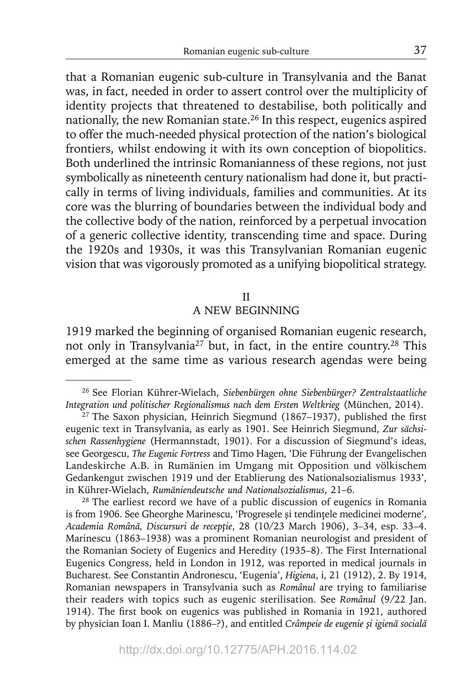that a Romanian eugenic sub-culture in Transylvania and the Banat was, in fact, needed in order to assert control over the multiplicity of identity projects that threatened to destabilise, both politically and nationally, the new Romanian state.26 In this respect, eugenics aspired to offer the much-needed physical protection of the nation's biological frontiers, whilst endowing it with its own conception of biopolitics. Both underlined the intrinsic Romanianness of these regions, not just symbolically as nineteenth century nationalism had done it, but practically in terms of living individuals, families and communities. At its core was the blurring of boundaries between the individual body and the collective body of the nation, reinforced by a perpetual invocation of a generic collective identity, transcending time and space. During the 1920s and 1930s, it was this Transylvanian Romanian eugenic vision that was vigorously promoted as a unifying biopolitical strategy.

### II

## A NEW BEGINNING

1919 marked the beginning of organised Romanian eugenic research, not only in Transylvania27 but, in fact, in the entire country.28 This emerged at the same time as various research agendas were being

<sup>28</sup> The earliest record we have of a public discussion of eugenics in Romania is from 1906. See Gheorghe Marinescu, 'Progresele şi tendinţele medicinei moderne', *Academia Română, Discursuri de recepţie*, 28 (10/23 March 1906), 3–34, esp. 33–4. Marinescu (1863–1938) was a prominent Romanian neurologist and president of the Romanian Society of Eugenics and Heredity (1935–8). The First International Eugenics Congress, held in London in 1912, was reported in medical journals in Bucharest. See Constantin Andronescu, 'Eugenia', *Higiena*, i, 21 (1912), 2. By 1914, Romanian newspapers in Transylvania such as *Românul* are trying to familiarise their readers with topics such as eugenic sterilisation. See *Românul* (9/22 Jan. 1914). The first book on eugenics was published in Romania in 1921, authored by physician Ioan I. Manliu (1886–?), and entitled *Crâmpeie de eugenie şi igienă socială*

<sup>26</sup> See Florian Kührer-Wielach, *Siebenbürgen ohne Siebenbürger? Zentralstaatliche Integration und politischer Regionalismus nach dem Ersten Weltkrieg* (München, 2014).

 $27$  The Saxon physician, Heinrich Siegmund (1867–1937), published the first eugenic text in Transylvania, as early as 1901. See Heinrich Siegmund, *Zur sächsischen Rassenhygiene* (Hermannstadt, 1901). For a discussion of Siegmund's ideas, see Georgescu, *The Eugenic Fortress* and Timo Hagen, 'Die Führung der Evangelischen Landeskirche A.B. in Rumänien im Umgang mit Opposition und völkischem Gedankengut zwischen 1919 und der Etablierung des Nationalsozialismus 1933', in Kührer-Wielach, *Rumäniendeutsche und Nationalsozialismus*, 21–6.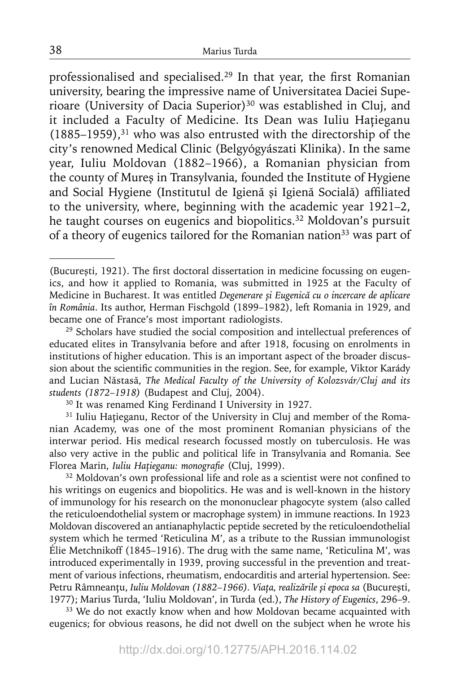professionalised and specialised.<sup>29</sup> In that year, the first Romanian university, bearing the impressive name of Universitatea Daciei Superioare (University of Dacia Superior)<sup>30</sup> was established in Cluj, and it included a Faculty of Medicine. Its Dean was Iuliu Haţieganu  $(1885-1959)$ ,<sup>31</sup> who was also entrusted with the directorship of the city's renowned Medical Clinic (Belgyógyászati Klinika). In the same year, Iuliu Moldovan (1882–1966), a Romanian physician from the county of Mureş in Transylvania, founded the Institute of Hygiene and Social Hygiene (Institutul de Igienă și Igienă Socială) affiliated to the university, where, beginning with the academic year 1921–2, he taught courses on eugenics and biopolitics.<sup>32</sup> Moldovan's pursuit of a theory of eugenics tailored for the Romanian nation<sup>33</sup> was part of

<sup>(</sup>București, 1921). The first doctoral dissertation in medicine focussing on eugenics, and how it applied to Romania, was submitted in 1925 at the Faculty of Medicine in Bucharest. It was entitled *Degenerare și Eugenică cu o incercare de aplicare în România*. Its author, Herman Fischgold (1899–1982), left Romania in 1929, and became one of France's most important radiologists.

<sup>&</sup>lt;sup>29</sup> Scholars have studied the social composition and intellectual preferences of educated elites in Transylvania before and after 1918, focusing on enrolments in institutions of higher education. This is an important aspect of the broader discussion about the scientific communities in the region. See, for example, Viktor Karády and Lucian Năstasă, *The Medical Faculty of the University of Kolozsvár/Cluj and its students (1872–1918)* (Budapest and Cluj, 2004). 30 It was renamed King Ferdinand I University in 1927.

<sup>&</sup>lt;sup>31</sup> Iuliu Hațieganu, Rector of the University in Cluj and member of the Romanian Academy, was one of the most prominent Romanian physicians of the interwar period. His medical research focussed mostly on tuberculosis. He was also very active in the public and political life in Transylvania and Romania. See Florea Marin, *Iuliu Hațieganu: monografie* (Cluj, 1999).

<sup>&</sup>lt;sup>32</sup> Moldovan's own professional life and role as a scientist were not confined to his writings on eugenics and biopolitics. He was and is well-known in the history of immunology for his research on the mononuclear phagocyte system (also called the reticuloendothelial system or macrophage system) in immune reactions. In 1923 Moldovan discovered an antianaphylactic peptide secreted by the reticuloendothelial system which he termed 'Reticulina M', as a tribute to the Russian immunologist Élie Metchnikoff (1845–1916). The drug with the same name, 'Reticulina M', was introduced experimentally in 1939, proving successful in the prevention and treatment of various infections, rheumatism, endocarditis and arterial hypertension. See: Petru Râmneanţu, *Iuliu Moldovan (1882–1966). Viaţa, realizările şi epoca sa* (Bucureşti, 1977); Marius Turda, 'Iuliu Moldovan', in Turda (ed.), *The History of Eugenics*, 296–9.

<sup>&</sup>lt;sup>33</sup> We do not exactly know when and how Moldovan became acquainted with eugenics; for obvious reasons, he did not dwell on the subject when he wrote his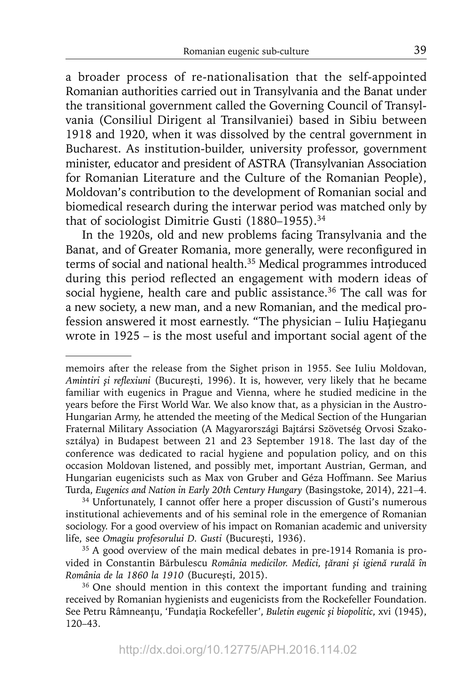a broader process of re-nationalisation that the self-appointed Romanian authorities carried out in Transylvania and the Banat under the transitional government called the Governing Council of Transylvania (Consiliul Dirigent al Transilvaniei) based in Sibiu between 1918 and 1920, when it was dissolved by the central government in Bucharest. As institution-builder, university professor, government minister, educator and president of ASTRA (Transylvanian Association for Romanian Literature and the Culture of the Romanian People), Moldovan's contribution to the development of Romanian social and biomedical research during the interwar period was matched only by that of sociologist Dimitrie Gusti (1880–1955).<sup>34</sup>

In the 1920s, old and new problems facing Transylvania and the Banat, and of Greater Romania, more generally, were reconfigured in terms of social and national health.35 Medical programmes introduced during this period reflected an engagement with modern ideas of social hygiene, health care and public assistance.<sup>36</sup> The call was for a new society, a new man, and a new Romanian, and the medical profession answered it most earnestly. "The physician – Iuliu Haţieganu wrote in 1925 – is the most useful and important social agent of the

34 Unfortunately, I cannot offer here a proper discussion of Gusti's numerous institutional achievements and of his seminal role in the emergence of Romanian sociology. For a good overview of his impact on Romanian academic and university life, see *Omagiu profesorului D. Gusti* (Bucureşti, 1936).

memoirs after the release from the Sighet prison in 1955. See Iuliu Moldovan, *Amintiri şi refl exiuni* (Bucureşti, 1996). It is, however, very likely that he became familiar with eugenics in Prague and Vienna, where he studied medicine in the years before the First World War. We also know that, as a physician in the Austro-Hungarian Army, he attended the meeting of the Medical Section of the Hungarian Fraternal Military Association (A Magyarországi Bajtársi Szövetség Orvosi Szakosztálya) in Budapest between 21 and 23 September 1918. The last day of the conference was dedicated to racial hygiene and population policy, and on this occasion Moldovan listened, and possibly met, important Austrian, German, and Hungarian eugenicists such as Max von Gruber and Géza Hoffmann. See Marius Turda, *Eugenics and Nation in Early 20th Century Hungary* (Basingstoke, 2014), 221–4.

<sup>&</sup>lt;sup>35</sup> A good overview of the main medical debates in pre-1914 Romania is provided in Constantin Bărbulescu *România medicilor. Medici, ţărani și igienă rurală în România de la 1860 la 1910* (Bucureşti, 2015).

<sup>&</sup>lt;sup>36</sup> One should mention in this context the important funding and training received by Romanian hygienists and eugenicists from the Rockefeller Foundation. See Petru Râmneanţu, 'Fundaţia Rockefeller', *Buletin eugenic şi biopolitic*, xvi (1945), 120–43.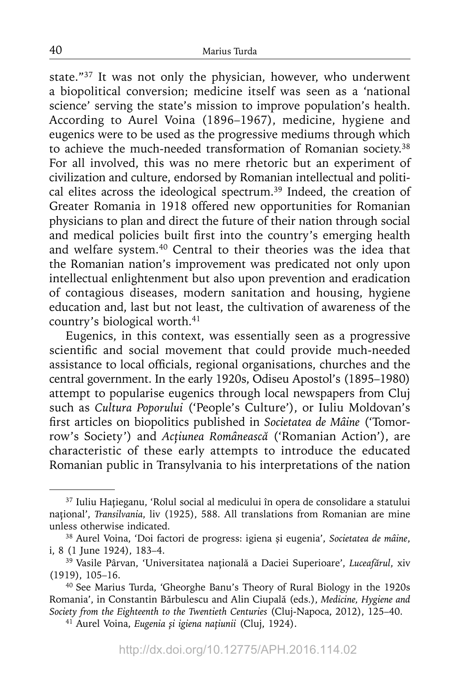state."37 It was not only the physician, however, who underwent a biopolitical conversion; medicine itself was seen as a 'national science' serving the state's mission to improve population's health. According to Aurel Voina (1896–1967), medicine, hygiene and eugenics were to be used as the progressive mediums through which to achieve the much-needed transformation of Romanian society.<sup>38</sup> For all involved, this was no mere rhetoric but an experiment of civilization and culture, endorsed by Romanian intellectual and political elites across the ideological spectrum.<sup>39</sup> Indeed, the creation of Greater Romania in 1918 offered new opportunities for Romanian physicians to plan and direct the future of their nation through social and medical policies built first into the country's emerging health and welfare system.40 Central to their theories was the idea that the Romanian nation's improvement was predicated not only upon intellectual enlightenment but also upon prevention and eradication of contagious diseases, modern sanitation and housing, hygiene education and, last but not least, the cultivation of awareness of the country's biological worth.<sup>41</sup>

Eugenics, in this context, was essentially seen as a progressive scientific and social movement that could provide much-needed assistance to local officials, regional organisations, churches and the central government. In the early 1920s, Odiseu Apostol's (1895–1980) attempt to popularise eugenics through local newspapers from Cluj such as *Cultura Poporului* ('People's Culture'), or Iuliu Moldovan's fi rst articles on biopolitics published in *Societatea de Mâine* ('Tomorrow's Society') and *Acţiunea Românească* ('Romanian Action'), are characteristic of these early attempts to introduce the educated Romanian public in Transylvania to his interpretations of the nation

<sup>37</sup> Iuliu Haţieganu, 'Rolul social al medicului în opera de consolidare a statului național', *Transilvania*, liv (1925), 588. All translations from Romanian are mine unless otherwise indicated.

<sup>38</sup> Aurel Voina, 'Doi factori de progress: igiena şi eugenia', *Societatea de mâine*, i, 8 (1 June 1924), 183–4.

<sup>39</sup> Vasile Pârvan, 'Universitatea naţională a Daciei Superioare', *Luceafărul*, xiv (1919), 105–16.

<sup>40</sup> See Marius Turda, 'Gheorghe Banu's Theory of Rural Biology in the 1920s Romania', in Constantin Bărbulescu and Alin Ciupală (eds.), *Medicine, Hygiene and Society from the Eighteenth to the Twentieth Centuries* (Cluj-Napoca, 2012), 125–40.

<sup>41</sup> Aurel Voina, *Eugenia şi igiena naţiunii* (Cluj, 1924).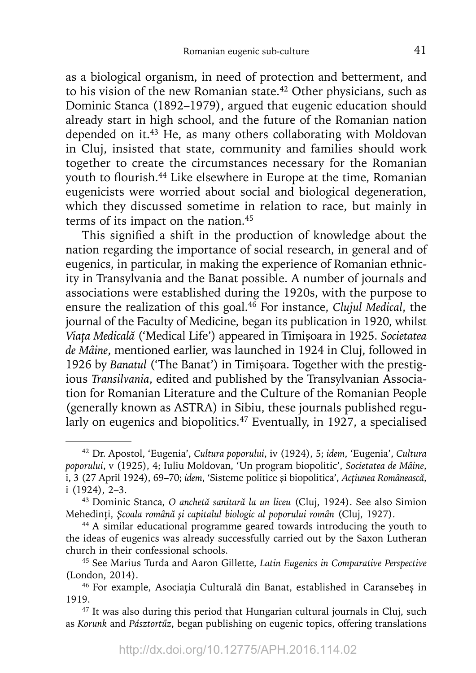as a biological organism, in need of protection and betterment, and to his vision of the new Romanian state.<sup>42</sup> Other physicians, such as Dominic Stanca (1892–1979), argued that eugenic education should already start in high school, and the future of the Romanian nation depended on it.<sup>43</sup> He, as many others collaborating with Moldovan in Cluj, insisted that state, community and families should work together to create the circumstances necessary for the Romanian youth to flourish.<sup>44</sup> Like elsewhere in Europe at the time, Romanian eugenicists were worried about social and biological degeneration, which they discussed sometime in relation to race, but mainly in terms of its impact on the nation.<sup>45</sup>

This signified a shift in the production of knowledge about the nation regarding the importance of social research, in general and of eugenics, in particular, in making the experience of Romanian ethnicity in Transylvania and the Banat possible. A number of journals and associations were established during the 1920s, with the purpose to ensure the realization of this goal.46 For instance, *Clujul Medical*, the journal of the Faculty of Medicine, began its publication in 1920, whilst *Viaţa Medicală* ('Medical Life') appeared in Timişoara in 1925. *Societatea de Mâine*, mentioned earlier, was launched in 1924 in Cluj, followed in 1926 by *Banatul* ('The Banat') in Timişoara. Together with the prestigious *Transilvania*, edited and published by the Transylvanian Association for Romanian Literature and the Culture of the Romanian People (generally known as ASTRA) in Sibiu, these journals published regularly on eugenics and biopolitics.<sup>47</sup> Eventually, in 1927, a specialised

<sup>42</sup> Dr. Apostol, 'Eugenia', *Cultura poporului*, iv (1924), 5; *idem*, 'Eugenia', *Cultura poporului*, v (1925), 4; Iuliu Moldovan, 'Un program biopolitic', *Societatea de Mâine*, i, 3 (27 April 1924), 69–70; *idem*, 'Sisteme politice şi biopolitica', *Acţiunea Românească*, i (1924), 2–3. 43 Dominic Stanca, *O anchetă sanitară la un liceu* (Cluj, 1924). See also Simion

Mehedinţi, *Şcoala română şi capitalul biologic al poporului român* (Cluj, 1927).

<sup>44</sup> A similar educational programme geared towards introducing the youth to the ideas of eugenics was already successfully carried out by the Saxon Lutheran church in their confessional schools.

<sup>45</sup> See Marius Turda and Aaron Gillette, *Latin Eugenics in Comparative Perspective* (London, 2014).

<sup>46</sup> For example, Asociaţia Culturală din Banat, established in Caransebeș in 1919.

<sup>&</sup>lt;sup>47</sup> It was also during this period that Hungarian cultural journals in Cluj, such as *Korunk* and *Pásztortűz*, began publishing on eugenic topics, offering translations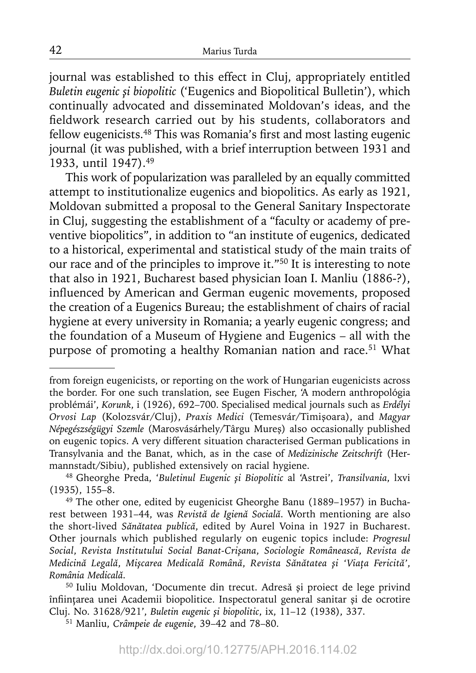journal was established to this effect in Cluj, appropriately entitled *Buletin eugenic şi biopolitic* ('Eugenics and Biopolitical Bulletin'), which continually advocated and disseminated Moldovan's ideas, and the fieldwork research carried out by his students, collaborators and fellow eugenicists.<sup>48</sup> This was Romania's first and most lasting eugenic journal (it was published, with a brief interruption between 1931 and 1933, until 1947).49

This work of popularization was paralleled by an equally committed attempt to institutionalize eugenics and biopolitics. As early as 1921, Moldovan submitted a proposal to the General Sanitary Inspectorate in Cluj, suggesting the establishment of a "faculty or academy of preventive biopolitics", in addition to "an institute of eugenics, dedicated to a historical, experimental and statistical study of the main traits of our race and of the principles to improve it."50 It is interesting to note that also in 1921, Bucharest based physician Ioan I. Manliu (1886-?), influenced by American and German eugenic movements, proposed the creation of a Eugenics Bureau; the establishment of chairs of racial hygiene at every university in Romania; a yearly eugenic congress; and the foundation of a Museum of Hygiene and Eugenics – all with the purpose of promoting a healthy Romanian nation and race.<sup>51</sup> What

from foreign eugenicists, or reporting on the work of Hungarian eugenicists across the border. For one such translation, see Eugen Fischer, 'A modern anthropológia problémái', *Korunk*, i (1926), 692–700. Specialised medical journals such as *Erdélyi Orvosi Lap* (Kolozsvár/Cluj), *Praxis Medici* (Temesvár/Timişoara), and *Magyar Népegészségügyi Szemle* (Marosvásárhely/Târgu Mureş) also occasionally published on eugenic topics. A very different situation characterised German publications in Transylvania and the Banat, which, as in the case of *Medizinische Zeitschrift* (Hermannstadt/Sibiu), published extensively on racial hygiene.

<sup>48</sup> Gheorghe Preda, '*Buletinul Eugenic şi Biopolitic* al 'Astrei', *Transilvania*, lxvi (1935), 155–8.

<sup>49</sup> The other one, edited by eugenicist Gheorghe Banu (1889–1957) in Bucharest between 1931–44, was *Revistă de Igienă Socială*. Worth mentioning are also the short-lived *Sănătatea publică*, edited by Aurel Voina in 1927 in Bucharest. Other journals which published regularly on eugenic topics include: *Progresul Social*, *Revista Institutului Social Banat-Crişana*, *Sociologie Românească*, *Revista de*  Medicină Legală, Mișcarea Medicală Română, Revista Sănătatea și 'Viața Fericită', *România Medicală*.

<sup>50</sup> Iuliu Moldovan, 'Documente din trecut. Adresă şi proiect de lege privind înființarea unei Academii biopolitice. Inspectoratul general sanitar și de ocrotire Cluj. No. 31628/921', *Buletin eugenic şi biopolitic*, ix, 11–12 (1938), 337.

<sup>51</sup> Manliu, *Crâmpeie de eugenie*, 39–42 and 78–80.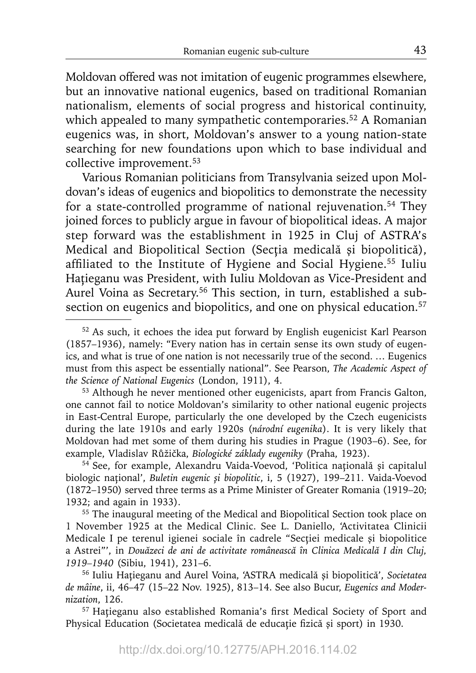Moldovan offered was not imitation of eugenic programmes elsewhere, but an innovative national eugenics, based on traditional Romanian nationalism, elements of social progress and historical continuity, which appealed to many sympathetic contemporaries.<sup>52</sup> A Romanian eugenics was, in short, Moldovan's answer to a young nation-state searching for new foundations upon which to base individual and collective improvement.<sup>53</sup>

Various Romanian politicians from Transylvania seized upon Moldovan's ideas of eugenics and biopolitics to demonstrate the necessity for a state-controlled programme of national rejuvenation.54 They joined forces to publicly argue in favour of biopolitical ideas. A major step forward was the establishment in 1925 in Cluj of ASTRA's Medical and Biopolitical Section (Secţia medicală şi biopolitică), affiliated to the Institute of Hygiene and Social Hygiene.<sup>55</sup> Iuliu Hatieganu was President, with Iuliu Moldovan as Vice-President and Aurel Voina as Secretary.<sup>56</sup> This section, in turn, established a subsection on eugenics and biopolitics, and one on physical education.<sup>57</sup>

53 Although he never mentioned other eugenicists, apart from Francis Galton, one cannot fail to notice Moldovan's similarity to other national eugenic projects in East-Central Europe, particularly the one developed by the Czech eugenicists during the late 1910s and early 1920s (*národní eugenika*). It is very likely that Moldovan had met some of them during his studies in Prague (1903–6). See, for example, Vladislav Růžička, *Biologické základy eugeniky* (Praha, 1923). 54 See, for example, Alexandru Vaida-Voevod, 'Politica naţional<sup>ă</sup> <sup>ş</sup>i capitalul

biologic naţional', *Buletin eugenic şi biopolitic*, i, 5 (1927), 199–211. Vaida-Voevod (1872–1950) served three terms as a Prime Minister of Greater Romania (1919–20; 1932; and again in 1933).

55 The inaugural meeting of the Medical and Biopolitical Section took place on 1 November 1925 at the Medical Clinic. See L. Daniello, 'Activitatea Clinicii Medicale I pe terenul igienei sociale în cadrele "Secţiei medicale şi biopolitice a Astrei"', in *Douăzeci de ani de activitate românească în Clinica Medicală I din Cluj, 1919–1940* (Sibiu, 1941), 231–6.

56 Iuliu Haţieganu and Aurel Voina, 'ASTRA medicală şi biopolitică', *Societatea de mâine*, ii, 46–47 (15–22 Nov. 1925), 813–14. See also Bucur, *Eugenics and Modernization*, 126.

<sup>57</sup> Hațieganu also established Romania's first Medical Society of Sport and Physical Education (Societatea medicală de educație fizică și sport) in 1930.

<sup>&</sup>lt;sup>52</sup> As such, it echoes the idea put forward by English eugenicist Karl Pearson (1857–1936), namely: "Every nation has in certain sense its own study of eugenics, and what is true of one nation is not necessarily true of the second. … Eugenics must from this aspect be essentially national". See Pearson, *The Academic Aspect of the Science of National Eugenics* (London, 1911), 4.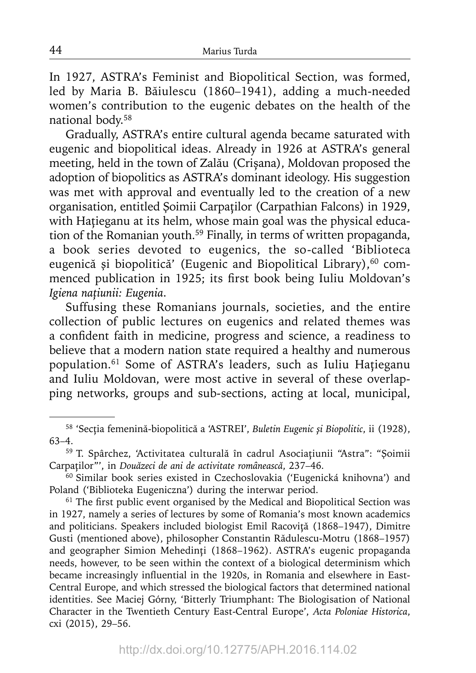In 1927, ASTRA's Feminist and Biopolitical Section, was formed, led by Maria B. Băiulescu (1860–1941), adding a much-needed women's contribution to the eugenic debates on the health of the national body.58

Gradually, ASTRA's entire cultural agenda became saturated with eugenic and biopolitical ideas. Already in 1926 at ASTRA's general meeting, held in the town of Zalău (Crișana), Moldovan proposed the adoption of biopolitics as ASTRA's dominant ideology. His suggestion was met with approval and eventually led to the creation of a new organisation, entitled Şoimii Carpaţilor (Carpathian Falcons) in 1929, with Hațieganu at its helm, whose main goal was the physical education of the Romanian youth.59 Finally, in terms of written propaganda, a book series devoted to eugenics, the so-called 'Biblioteca eugenică și biopolitică' (Eugenic and Biopolitical Library),<sup>60</sup> commenced publication in 1925; its first book being Iuliu Moldovan's *Igiena naţiunii: Eugenia*.

Suffusing these Romanians journals, societies, and the entire collection of public lectures on eugenics and related themes was a confident faith in medicine, progress and science, a readiness to believe that a modern nation state required a healthy and numerous population.<sup>61</sup> Some of ASTRA's leaders, such as Iuliu Hațieganu and Iuliu Moldovan, were most active in several of these overlapping networks, groups and sub-sections, acting at local, municipal,

<sup>58 &#</sup>x27;Secţia femenină-biopolitică a 'ASTREI', *Buletin Eugenic şi Biopolitic*, ii (1928), 63–4.

<sup>59</sup> T. Spârchez, 'Activitatea culturală în cadrul Asociaţiunii "Astra": "Şoimii Carpaţilor"', in *Douăzeci de ani de activitate românească*, 237–46.

<sup>&</sup>lt;sup>60</sup> Similar book series existed in Czechoslovakia ('Eugenická knihovna') and Poland ('Biblioteka Eugeniczna') during the interwar period.

 $61$  The first public event organised by the Medical and Biopolitical Section was in 1927, namely a series of lectures by some of Romania's most known academics and politicians. Speakers included biologist Emil Racoviţă (1868–1947), Dimitre Gusti (mentioned above), philosopher Constantin Rădulescu-Motru (1868–1957) and geographer Simion Mehedinți (1868-1962). ASTRA's eugenic propaganda needs, however, to be seen within the context of a biological determinism which became increasingly influential in the 1920s, in Romania and elsewhere in East-Central Europe, and which stressed the biological factors that determined national identities. See Maciej Górny, 'Bitterly Triumphant: The Biologisation of National Character in the Twentieth Century East-Central Europe', *Acta Poloniae Historica*, cxi (2015), 29–56.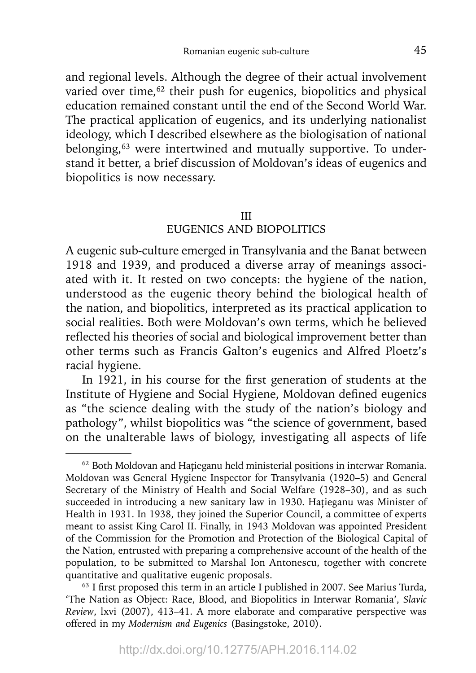and regional levels. Although the degree of their actual involvement varied over time,<sup>62</sup> their push for eugenics, biopolitics and physical education remained constant until the end of the Second World War. The practical application of eugenics, and its underlying nationalist ideology, which I described elsewhere as the biologisation of national belonging,<sup>63</sup> were intertwined and mutually supportive. To understand it better, a brief discussion of Moldovan's ideas of eugenics and biopolitics is now necessary.

### III

# EUGENICS AND BIOPOLITICS

A eugenic sub-culture emerged in Transylvania and the Banat between 1918 and 1939, and produced a diverse array of meanings associated with it. It rested on two concepts: the hygiene of the nation, understood as the eugenic theory behind the biological health of the nation, and biopolitics, interpreted as its practical application to social realities. Both were Moldovan's own terms, which he believed reflected his theories of social and biological improvement better than other terms such as Francis Galton's eugenics and Alfred Ploetz's racial hygiene.

In 1921, in his course for the first generation of students at the Institute of Hygiene and Social Hygiene, Moldovan defined eugenics as "the science dealing with the study of the nation's biology and pathology", whilst biopolitics was "the science of government, based on the unalterable laws of biology, investigating all aspects of life

<sup>&</sup>lt;sup>62</sup> Both Moldovan and Hațieganu held ministerial positions in interwar Romania. Moldovan was General Hygiene Inspector for Transylvania (1920–5) and General Secretary of the Ministry of Health and Social Welfare (1928–30), and as such succeeded in introducing a new sanitary law in 1930. Haţieganu was Minister of Health in 1931. In 1938, they joined the Superior Council, a committee of experts meant to assist King Carol II. Finally, in 1943 Moldovan was appointed President of the Commission for the Promotion and Protection of the Biological Capital of the Nation, entrusted with preparing a comprehensive account of the health of the population, to be submitted to Marshal Ion Antonescu, together with concrete quantitative and qualitative eugenic proposals.<br><sup>63</sup> I first proposed this term in an article I published in 2007. See Marius Turda,

<sup>&#</sup>x27;The Nation as Object: Race, Blood, and Biopolitics in Interwar Romania', *Slavic Review*, lxvi (2007), 413–41. A more elaborate and comparative perspective was offered in my *Modernism and Eugenics* (Basingstoke, 2010).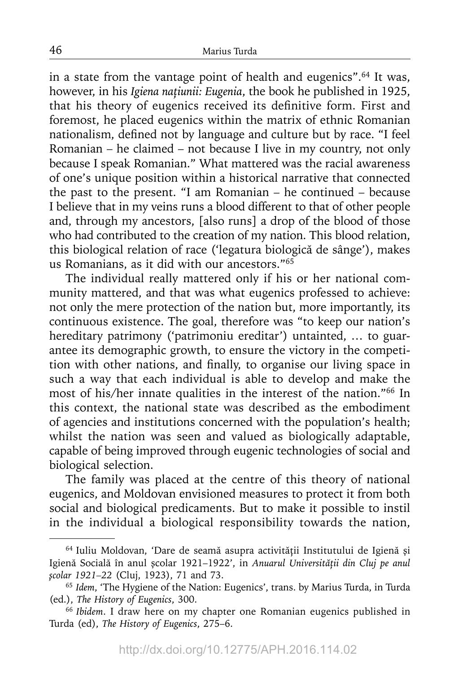in a state from the vantage point of health and eugenics".64 It was, however, in his *Igiena naţiunii: Eugenia*, the book he published in 1925, that his theory of eugenics received its definitive form. First and foremost, he placed eugenics within the matrix of ethnic Romanian nationalism, defined not by language and culture but by race. "I feel Romanian – he claimed – not because I live in my country, not only because I speak Romanian." What mattered was the racial awareness of one's unique position within a historical narrative that connected the past to the present. "I am Romanian – he continued – because I believe that in my veins runs a blood different to that of other people and, through my ancestors, [also runs] a drop of the blood of those who had contributed to the creation of my nation. This blood relation, this biological relation of race ('legatura biologică de sânge'), makes us Romanians, as it did with our ancestors."65

The individual really mattered only if his or her national community mattered, and that was what eugenics professed to achieve: not only the mere protection of the nation but, more importantly, its continuous existence. The goal, therefore was "to keep our nation's hereditary patrimony ('patrimoniu ereditar') untainted, … to guarantee its demographic growth, to ensure the victory in the competition with other nations, and finally, to organise our living space in such a way that each individual is able to develop and make the most of his/her innate qualities in the interest of the nation."66 In this context, the national state was described as the embodiment of agencies and institutions concerned with the population's health; whilst the nation was seen and valued as biologically adaptable, capable of being improved through eugenic technologies of social and biological selection.

The family was placed at the centre of this theory of national eugenics, and Moldovan envisioned measures to protect it from both social and biological predicaments. But to make it possible to instil in the individual a biological responsibility towards the nation,

<sup>64</sup> Iuliu Moldovan, 'Dare de seamă asupra activităţii Institutului de Igienă şi Igienă Socială în anul şcolar 1921–1922', in *Anuarul Universităţii din Cluj pe anul şcolar 1921–22* (Cluj, 1923), 71 and 73.

<sup>65</sup>*Idem*, 'The Hygiene of the Nation: Eugenics', trans. by Marius Turda, in Turda (ed.), *The History of Eugenics*, 300.

<sup>66</sup>*Ibidem*. I draw here on my chapter one Romanian eugenics published in Turda (ed), *The History of Eugenics*, 275–6.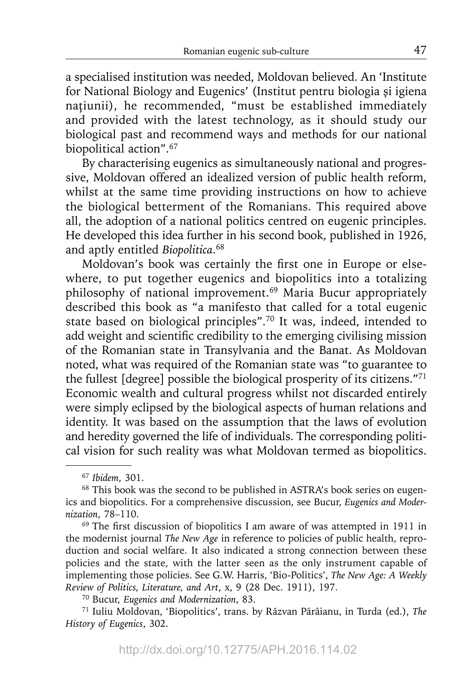a specialised institution was needed, Moldovan believed. An 'Institute for National Biology and Eugenics' (Institut pentru biologia şi igiena naţiunii), he recommended, "must be established immediately and provided with the latest technology, as it should study our biological past and recommend ways and methods for our national biopolitical action".<sup>67</sup>

By characterising eugenics as simultaneously national and progressive, Moldovan offered an idealized version of public health reform, whilst at the same time providing instructions on how to achieve the biological betterment of the Romanians. This required above all, the adoption of a national politics centred on eugenic principles. He developed this idea further in his second book, published in 1926, and aptly entitled *Biopolitica*. 68

Moldovan's book was certainly the first one in Europe or elsewhere, to put together eugenics and biopolitics into a totalizing philosophy of national improvement.<sup>69</sup> Maria Bucur appropriately described this book as "a manifesto that called for a total eugenic state based on biological principles".70 It was, indeed, intended to add weight and scientific credibility to the emerging civilising mission of the Romanian state in Transylvania and the Banat. As Moldovan noted, what was required of the Romanian state was "to guarantee to the fullest [degree] possible the biological prosperity of its citizens."71 Economic wealth and cultural progress whilst not discarded entirely were simply eclipsed by the biological aspects of human relations and identity. It was based on the assumption that the laws of evolution and heredity governed the life of individuals. The corresponding political vision for such reality was what Moldovan termed as biopolitics.

 $69$  The first discussion of biopolitics I am aware of was attempted in 1911 in the modernist journal *The New Age* in reference to policies of public health, reproduction and social welfare. It also indicated a strong connection between these policies and the state, with the latter seen as the only instrument capable of implementing those policies. See G.W. Harris, 'Bio-Politics', *The New Age: A Weekly Review of Politics, Literature, and Art*, x, 9 (28 Dec. 1911), 197.

70 Bucur, *Eugenics and Modernization*, 83.

<sup>67</sup>*Ibidem*, 301.

<sup>68</sup> This book was the second to be published in ASTRA's book series on eugenics and biopolitics. For a comprehensive discussion, see Bucur, *Eugenics and Modernization*, 78–110.

<sup>71</sup> Iuliu Moldovan, 'Biopolitics', trans. by Răzvan Pârâianu, in Turda (ed.), *The History of Eugenics*, 302.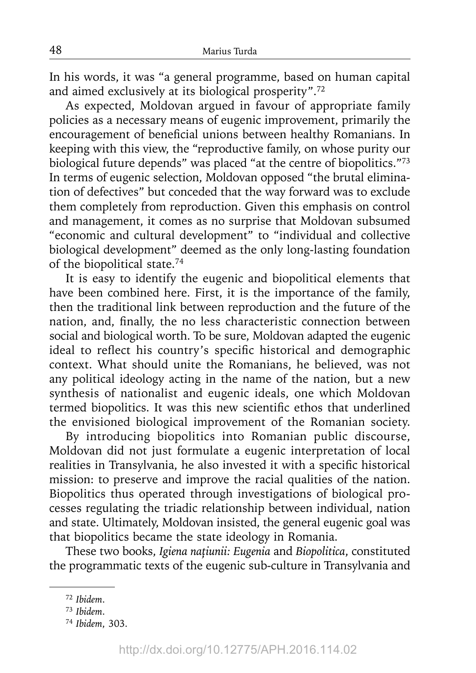In his words, it was "a general programme, based on human capital and aimed exclusively at its biological prosperity".72

As expected, Moldovan argued in favour of appropriate family policies as a necessary means of eugenic improvement, primarily the encouragement of beneficial unions between healthy Romanians. In keeping with this view, the "reproductive family, on whose purity our biological future depends" was placed "at the centre of biopolitics."73 In terms of eugenic selection, Moldovan opposed "the brutal elimination of defectives" but conceded that the way forward was to exclude them completely from reproduction. Given this emphasis on control and management, it comes as no surprise that Moldovan subsumed "economic and cultural development" to "individual and collective biological development" deemed as the only long-lasting foundation of the biopolitical state.74

It is easy to identify the eugenic and biopolitical elements that have been combined here. First, it is the importance of the family, then the traditional link between reproduction and the future of the nation, and, finally, the no less characteristic connection between social and biological worth. To be sure, Moldovan adapted the eugenic ideal to reflect his country's specific historical and demographic context. What should unite the Romanians, he believed, was not any political ideology acting in the name of the nation, but a new synthesis of nationalist and eugenic ideals, one which Moldovan termed biopolitics. It was this new scientific ethos that underlined the envisioned biological improvement of the Romanian society.

By introducing biopolitics into Romanian public discourse, Moldovan did not just formulate a eugenic interpretation of local realities in Transylvania, he also invested it with a specific historical mission: to preserve and improve the racial qualities of the nation. Biopolitics thus operated through investigations of biological processes regulating the triadic relationship between individual, nation and state. Ultimately, Moldovan insisted, the general eugenic goal was that biopolitics became the state ideology in Romania.

These two books, *Igiena naţiunii: Eugenia* and *Biopolitica*, constituted the programmatic texts of the eugenic sub-culture in Transylvania and

<sup>72</sup>*Ibidem*.

<sup>73</sup>*Ibidem*.

<sup>74</sup>*Ibidem*, 303.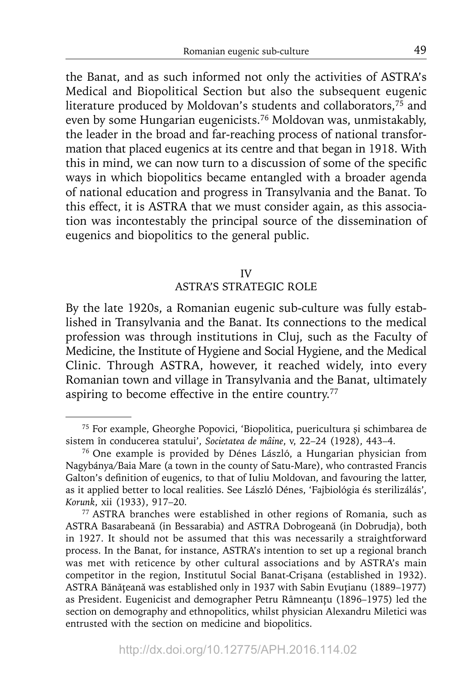the Banat, and as such informed not only the activities of ASTRA's Medical and Biopolitical Section but also the subsequent eugenic literature produced by Moldovan's students and collaborators,<sup>75</sup> and even by some Hungarian eugenicists.76 Moldovan was, unmistakably, the leader in the broad and far-reaching process of national transformation that placed eugenics at its centre and that began in 1918. With this in mind, we can now turn to a discussion of some of the specific ways in which biopolitics became entangled with a broader agenda of national education and progress in Transylvania and the Banat. To this effect, it is ASTRA that we must consider again, as this association was incontestably the principal source of the dissemination of eugenics and biopolitics to the general public.

### IV

### ASTRA'S STRATEGIC ROLE

By the late 1920s, a Romanian eugenic sub-culture was fully established in Transylvania and the Banat. Its connections to the medical profession was through institutions in Cluj, such as the Faculty of Medicine, the Institute of Hygiene and Social Hygiene, and the Medical Clinic. Through ASTRA, however, it reached widely, into every Romanian town and village in Transylvania and the Banat, ultimately aspiring to become effective in the entire country.<sup>77</sup>

<sup>75</sup> For example, Gheorghe Popovici, 'Biopolitica, puericultura şi schimbarea de sistem în conducerea statului', *Societatea de mâine*, v, 22–24 (1928), 443–4.

<sup>76</sup> One example is provided by Dénes László, a Hungarian physician from Nagybánya/Baia Mare (a town in the county of Satu-Mare), who contrasted Francis Galton's definition of eugenics, to that of Iuliu Moldovan, and favouring the latter, as it applied better to local realities. See László Dénes, 'Fajbiológia és sterilizálás', *Korunk*, xii (1933), 917–20.

<sup>77</sup> ASTRA branches were established in other regions of Romania, such as ASTRA Basarabeană (in Bessarabia) and ASTRA Dobrogeană (in Dobrudja), both in 1927. It should not be assumed that this was necessarily a straightforward process. In the Banat, for instance, ASTRA's intention to set up a regional branch was met with reticence by other cultural associations and by ASTRA's main competitor in the region, Institutul Social Banat-Crişana (established in 1932). ASTRA Bănăţeană was established only in 1937 with Sabin Evuţianu (1889–1977) as President. Eugenicist and demographer Petru Râmneanţu (1896–1975) led the section on demography and ethnopolitics, whilst physician Alexandru Miletici was entrusted with the section on medicine and biopolitics.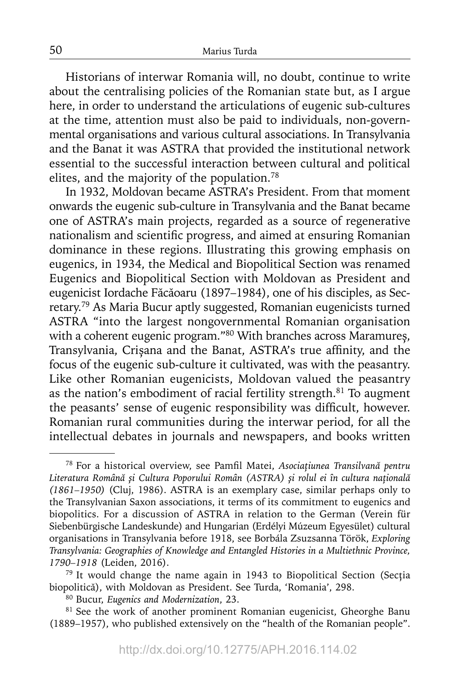Historians of interwar Romania will, no doubt, continue to write about the centralising policies of the Romanian state but, as I argue here, in order to understand the articulations of eugenic sub-cultures at the time, attention must also be paid to individuals, non-governmental organisations and various cultural associations. In Transylvania and the Banat it was ASTRA that provided the institutional network essential to the successful interaction between cultural and political elites, and the majority of the population.<sup>78</sup>

In 1932, Moldovan became ASTRA's President. From that moment onwards the eugenic sub-culture in Transylvania and the Banat became one of ASTRA's main projects, regarded as a source of regenerative nationalism and scientific progress, and aimed at ensuring Romanian dominance in these regions. Illustrating this growing emphasis on eugenics, in 1934, the Medical and Biopolitical Section was renamed Eugenics and Biopolitical Section with Moldovan as President and eugenicist Iordache Făcăoaru (1897–1984), one of his disciples, as Secretary.79 As Maria Bucur aptly suggested, Romanian eugenicists turned ASTRA "into the largest nongovernmental Romanian organisation with a coherent eugenic program."80 With branches across Maramureș, Transylvania, Crișana and the Banat, ASTRA's true affinity, and the focus of the eugenic sub-culture it cultivated, was with the peasantry. Like other Romanian eugenicists, Moldovan valued the peasantry as the nation's embodiment of racial fertility strength.81 To augment the peasants' sense of eugenic responsibility was difficult, however. Romanian rural communities during the interwar period, for all the intellectual debates in journals and newspapers, and books written

80 Bucur, *Eugenics and Modernization*, 23.

<sup>81</sup> See the work of another prominent Romanian eugenicist, Gheorghe Banu (1889–1957), who published extensively on the "health of the Romanian people".

<sup>78</sup> For a historical overview, see Pamfi l Matei, *Asociaţiunea Transilvană pentru Literatura Română şi Cultura Poporului Român (ASTRA) şi rolul ei în cultura naţională (1861–1950)* (Cluj, 1986). ASTRA is an exemplary case, similar perhaps only to the Transylvanian Saxon associations, it terms of its commitment to eugenics and biopolitics. For a discussion of ASTRA in relation to the German (Verein für Siebenbürgische Landeskunde) and Hungarian (Erdélyi Múzeum Egyesület) cultural organisations in Transylvania before 1918, see Borbála Zsuzsanna Török, *Exploring Transylvania: Geographies of Knowledge and Entangled Histories in a Multiethnic Province, 1790–1918* (Leiden, 2016).

<sup>79</sup> It would change the name again in 1943 to Biopolitical Section (Secţia biopolitică), with Moldovan as President. See Turda, 'Romania', 298.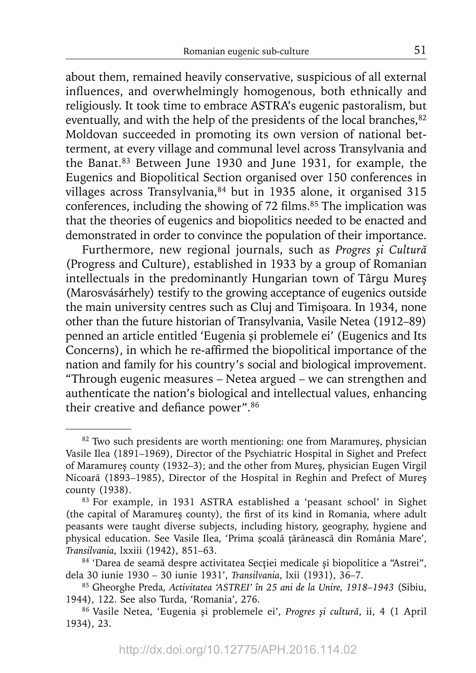about them, remained heavily conservative, suspicious of all external influences, and overwhelmingly homogenous, both ethnically and religiously. It took time to embrace ASTRA's eugenic pastoralism, but eventually, and with the help of the presidents of the local branches, <sup>82</sup> Moldovan succeeded in promoting its own version of national betterment, at every village and communal level across Transylvania and the Banat.83 Between June 1930 and June 1931, for example, the Eugenics and Biopolitical Section organised over 150 conferences in villages across Transylvania, 84 but in 1935 alone, it organised 315 conferences, including the showing of 72 films.<sup>85</sup> The implication was that the theories of eugenics and biopolitics needed to be enacted and demonstrated in order to convince the population of their importance.

Furthermore, new regional journals, such as *Progres și Cultură* (Progress and Culture), established in 1933 by a group of Romanian intellectuals in the predominantly Hungarian town of Târgu Mureș (Marosvásárhely) testify to the growing acceptance of eugenics outside the main university centres such as Cluj and Timişoara. In 1934, none other than the future historian of Transylvania, Vasile Netea (1912–89) penned an article entitled 'Eugenia şi problemele ei' (Eugenics and Its Concerns), in which he re-affirmed the biopolitical importance of the nation and family for his country's social and biological improvement. "Through eugenic measures – Netea argued – we can strengthen and authenticate the nation's biological and intellectual values, enhancing their creative and defiance power". $86$ 

<sup>&</sup>lt;sup>82</sup> Two such presidents are worth mentioning: one from Maramureș, physician Vasile Ilea (1891–1969), Director of the Psychiatric Hospital in Sighet and Prefect of Maramureș county (1932–3); and the other from Mureș, physician Eugen Virgil Nicoară (1893–1985), Director of the Hospital in Reghin and Prefect of Mureș county (1938).

<sup>83</sup> For example, in 1931 ASTRA established a 'peasant school' in Sighet (the capital of Maramureș county), the first of its kind in Romania, where adult peasants were taught diverse subjects, including history, geography, hygiene and physical education. See Vasile Ilea, 'Prima şcoală ţărănească din România Mare', *Transilvania*, lxxiii (1942), 851–63.

<sup>84 &#</sup>x27;Darea de seamă despre activitatea Secţiei medicale și biopolitice a "Astrei", dela 30 iunie 1930 – 30 iunie 1931', *Transilvania*, lxii (1931), 36–7.

<sup>85</sup> Gheorghe Preda, *Activitatea 'ASTREI' în 25 ani de la Unire, 1918–1943* (Sibiu, 1944), 122. See also Turda, 'Romania', 276.

<sup>86</sup> Vasile Netea, 'Eugenia şi problemele ei', *Progres şi cultură*, ii, 4 (1 April 1934), 23.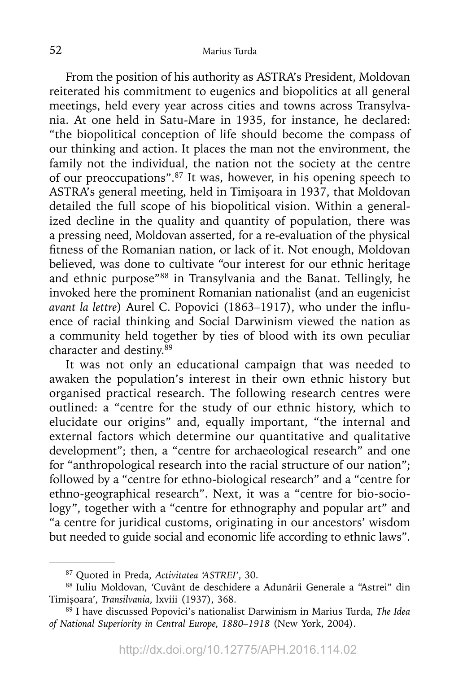From the position of his authority as ASTRA's President, Moldovan reiterated his commitment to eugenics and biopolitics at all general meetings, held every year across cities and towns across Transylvania. At one held in Satu-Mare in 1935, for instance, he declared: "the biopolitical conception of life should become the compass of our thinking and action. It places the man not the environment, the family not the individual, the nation not the society at the centre of our preoccupations".87 It was, however, in his opening speech to ASTRA's general meeting, held in Timişoara in 1937, that Moldovan detailed the full scope of his biopolitical vision. Within a generalized decline in the quality and quantity of population, there was a pressing need, Moldovan asserted, for a re-evaluation of the physical fitness of the Romanian nation, or lack of it. Not enough, Moldovan believed, was done to cultivate "our interest for our ethnic heritage and ethnic purpose"88 in Transylvania and the Banat. Tellingly, he invoked here the prominent Romanian nationalist (and an eugenicist *avant la lettre*) Aurel C. Popovici (1863-1917), who under the influence of racial thinking and Social Darwinism viewed the nation as a community held together by ties of blood with its own peculiar character and destiny.<sup>89</sup>

It was not only an educational campaign that was needed to awaken the population's interest in their own ethnic history but organised practical research. The following research centres were outlined: a "centre for the study of our ethnic history, which to elucidate our origins" and, equally important, "the internal and external factors which determine our quantitative and qualitative development"; then, a "centre for archaeological research" and one for "anthropological research into the racial structure of our nation"; followed by a "centre for ethno-biological research" and a "centre for ethno-geographical research". Next, it was a "centre for bio-sociology", together with a "centre for ethnography and popular art" and "a centre for juridical customs, originating in our ancestors' wisdom but needed to guide social and economic life according to ethnic laws".

<sup>87</sup> Quoted in Preda, *Activitatea 'ASTREI'*, 30.

<sup>88</sup> Iuliu Moldovan, 'Cuvânt de deschidere a Adunării Generale a "Astrei" din Timişoara', *Transilvania*, lxviii (1937), 368.

<sup>89</sup> I have discussed Popovici's nationalist Darwinism in Marius Turda, *The Idea of National Superiority in Central Europe, 1880–1918* (New York, 2004).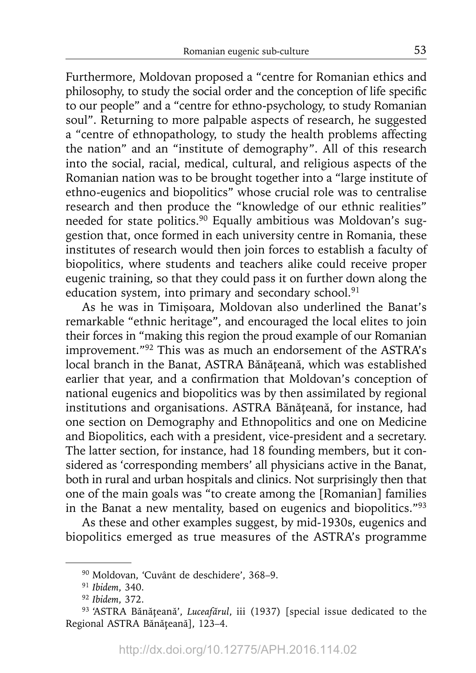Furthermore, Moldovan proposed a "centre for Romanian ethics and philosophy, to study the social order and the conception of life specific to our people" and a "centre for ethno-psychology, to study Romanian soul". Returning to more palpable aspects of research, he suggested a "centre of ethnopathology, to study the health problems affecting the nation" and an "institute of demography". All of this research into the social, racial, medical, cultural, and religious aspects of the Romanian nation was to be brought together into a "large institute of ethno-eugenics and biopolitics" whose crucial role was to centralise research and then produce the "knowledge of our ethnic realities" needed for state politics.<sup>90</sup> Equally ambitious was Moldovan's suggestion that, once formed in each university centre in Romania, these institutes of research would then join forces to establish a faculty of biopolitics, where students and teachers alike could receive proper eugenic training, so that they could pass it on further down along the education system, into primary and secondary school.<sup>91</sup>

As he was in Timişoara, Moldovan also underlined the Banat's remarkable "ethnic heritage", and encouraged the local elites to join their forces in "making this region the proud example of our Romanian improvement."92 This was as much an endorsement of the ASTRA's local branch in the Banat, ASTRA Bănăţeană, which was established earlier that year, and a confirmation that Moldovan's conception of national eugenics and biopolitics was by then assimilated by regional institutions and organisations. ASTRA Bănăteană, for instance, had one section on Demography and Ethnopolitics and one on Medicine and Biopolitics, each with a president, vice-president and a secretary. The latter section, for instance, had 18 founding members, but it considered as 'corresponding members' all physicians active in the Banat, both in rural and urban hospitals and clinics. Not surprisingly then that one of the main goals was "to create among the [Romanian] families in the Banat a new mentality, based on eugenics and biopolitics."93

As these and other examples suggest, by mid-1930s, eugenics and biopolitics emerged as true measures of the ASTRA's programme

<sup>90</sup> Moldovan, 'Cuvânt de deschidere', 368–9.

<sup>91</sup>*Ibidem*, 340.

<sup>92</sup>*Ibidem*, 372.

<sup>93 &#</sup>x27;ASTRA Bănăţeană', *Luceafărul*, iii (1937) [special issue dedicated to the Regional ASTRA Bănăţeană], 123–4.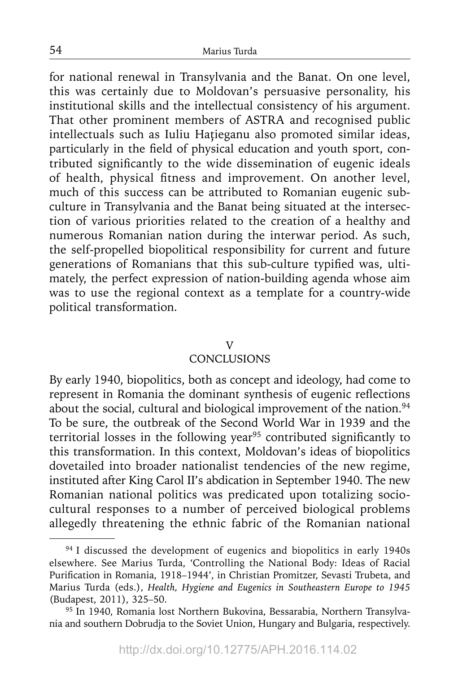for national renewal in Transylvania and the Banat. On one level, this was certainly due to Moldovan's persuasive personality, his institutional skills and the intellectual consistency of his argument. That other prominent members of ASTRA and recognised public intellectuals such as Iuliu Haţieganu also promoted similar ideas, particularly in the field of physical education and youth sport, contributed significantly to the wide dissemination of eugenic ideals of health, physical fitness and improvement. On another level, much of this success can be attributed to Romanian eugenic subculture in Transylvania and the Banat being situated at the intersection of various priorities related to the creation of a healthy and numerous Romanian nation during the interwar period. As such, the self-propelled biopolitical responsibility for current and future generations of Romanians that this sub-culture typified was, ultimately, the perfect expression of nation-building agenda whose aim was to use the regional context as a template for a country-wide political transformation.

### V

# **CONCLUSIONS**

By early 1940, biopolitics, both as concept and ideology, had come to represent in Romania the dominant synthesis of eugenic reflections about the social, cultural and biological improvement of the nation.<sup>94</sup> To be sure, the outbreak of the Second World War in 1939 and the territorial losses in the following year<sup>95</sup> contributed significantly to this transformation. In this context, Moldovan's ideas of biopolitics dovetailed into broader nationalist tendencies of the new regime, instituted after King Carol II's abdication in September 1940. The new Romanian national politics was predicated upon totalizing sociocultural responses to a number of perceived biological problems allegedly threatening the ethnic fabric of the Romanian national

<sup>&</sup>lt;sup>94</sup> I discussed the development of eugenics and biopolitics in early 1940s elsewhere. See Marius Turda, 'Controlling the National Body: Ideas of Racial Purification in Romania, 1918–1944', in Christian Promitzer, Sevasti Trubeta, and Marius Turda (eds.), *Health, Hygiene and Eugenics in Southeastern Europe to 1945* (Budapest, 2011), 325–50.

<sup>&</sup>lt;sup>95</sup> In 1940, Romania lost Northern Bukovina, Bessarabia, Northern Transylvania and southern Dobrudja to the Soviet Union, Hungary and Bulgaria, respectively.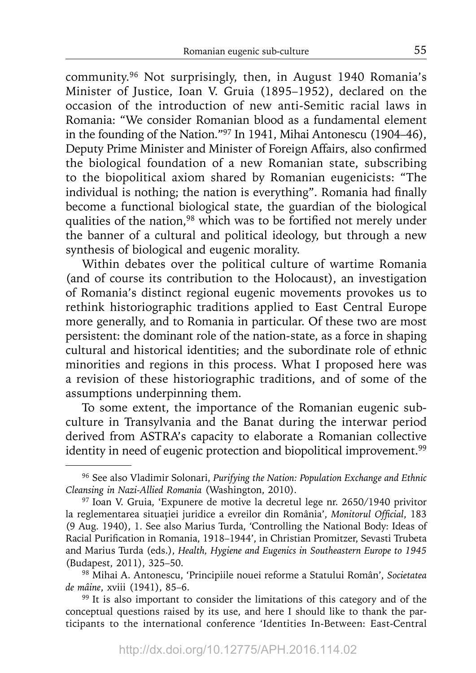community.96 Not surprisingly, then, in August 1940 Romania's Minister of Justice, Ioan V. Gruia (1895–1952), declared on the occasion of the introduction of new anti-Semitic racial laws in Romania: "We consider Romanian blood as a fundamental element in the founding of the Nation."97 In 1941, Mihai Antonescu (1904–46), Deputy Prime Minister and Minister of Foreign Affairs, also confirmed the biological foundation of a new Romanian state, subscribing to the biopolitical axiom shared by Romanian eugenicists: "The individual is nothing; the nation is everything". Romania had finally become a functional biological state, the guardian of the biological qualities of the nation,<sup>98</sup> which was to be fortified not merely under the banner of a cultural and political ideology, but through a new synthesis of biological and eugenic morality.

Within debates over the political culture of wartime Romania (and of course its contribution to the Holocaust), an investigation of Romania's distinct regional eugenic movements provokes us to rethink historiographic traditions applied to East Central Europe more generally, and to Romania in particular. Of these two are most persistent: the dominant role of the nation-state, as a force in shaping cultural and historical identities; and the subordinate role of ethnic minorities and regions in this process. What I proposed here was a revision of these historiographic traditions, and of some of the assumptions underpinning them.

To some extent, the importance of the Romanian eugenic subculture in Transylvania and the Banat during the interwar period derived from ASTRA's capacity to elaborate a Romanian collective identity in need of eugenic protection and biopolitical improvement.<sup>99</sup>

<sup>96</sup> See also Vladimir Solonari, *Purifying the Nation: Population Exchange and Ethnic Cleansing in Nazi-Allied Romania* (Washington, 2010).

<sup>97</sup> Ioan V. Gruia, 'Expunere de motive la decretul lege nr. 2650/1940 privitor la reglementarea situației juridice a evreilor din România', Monitorul Official, 183 (9 Aug. 1940), 1. See also Marius Turda, 'Controlling the National Body: Ideas of Racial Purification in Romania, 1918–1944', in Christian Promitzer, Sevasti Trubeta and Marius Turda (eds.), *Health, Hygiene and Eugenics in Southeastern Europe to 1945* (Budapest, 2011), 325–50.

<sup>98</sup> Mihai A. Antonescu, 'Principiile nouei reforme a Statului Român', *Societatea de mâine*, xviii (1941), 85–6.

<sup>&</sup>lt;sup>99</sup> It is also important to consider the limitations of this category and of the conceptual questions raised by its use, and here I should like to thank the participants to the international conference 'Identities In-Between: East-Central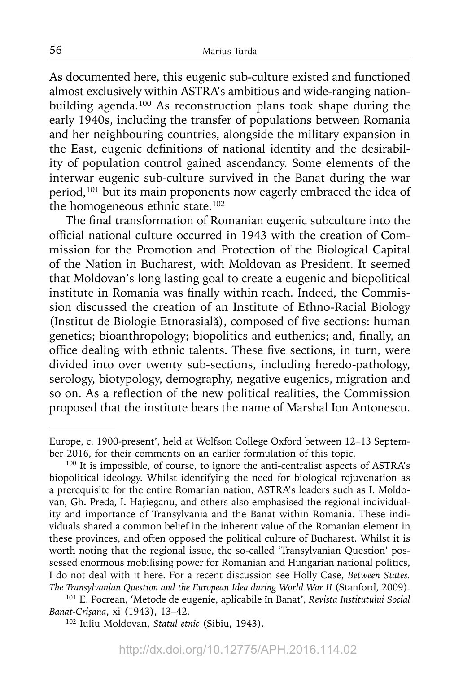As documented here, this eugenic sub-culture existed and functioned almost exclusively within ASTRA's ambitious and wide-ranging nationbuilding agenda.<sup>100</sup> As reconstruction plans took shape during the early 1940s, including the transfer of populations between Romania and her neighbouring countries, alongside the military expansion in the East, eugenic definitions of national identity and the desirability of population control gained ascendancy. Some elements of the interwar eugenic sub-culture survived in the Banat during the war period,<sup>101</sup> but its main proponents now eagerly embraced the idea of the homogeneous ethnic state.<sup>102</sup>

The final transformation of Romanian eugenic subculture into the official national culture occurred in 1943 with the creation of Commission for the Promotion and Protection of the Biological Capital of the Nation in Bucharest, with Moldovan as President. It seemed that Moldovan's long lasting goal to create a eugenic and biopolitical institute in Romania was finally within reach. Indeed, the Commission discussed the creation of an Institute of Ethno-Racial Biology (Institut de Biologie Etnorasială), composed of five sections: human genetics; bioanthropology; biopolitics and euthenics; and, finally, an office dealing with ethnic talents. These five sections, in turn, were divided into over twenty sub-sections, including heredo-pathology, serology, biotypology, demography, negative eugenics, migration and so on. As a reflection of the new political realities, the Commission proposed that the institute bears the name of Marshal Ion Antonescu.

Europe, c. 1900-present', held at Wolfson College Oxford between 12–13 September 2016, for their comments on an earlier formulation of this topic.

<sup>100</sup> It is impossible, of course, to ignore the anti-centralist aspects of ASTRA's biopolitical ideology. Whilst identifying the need for biological rejuvenation as a prerequisite for the entire Romanian nation, ASTRA's leaders such as I. Moldovan, Gh. Preda, I. Haţieganu, and others also emphasised the regional individuality and importance of Transylvania and the Banat within Romania. These individuals shared a common belief in the inherent value of the Romanian element in these provinces, and often opposed the political culture of Bucharest. Whilst it is worth noting that the regional issue, the so-called 'Transylvanian Question' possessed enormous mobilising power for Romanian and Hungarian national politics, I do not deal with it here. For a recent discussion see Holly Case, *Between States.*  The Transylvanian Question and the European Idea during World War II (Stanford, 2009).

<sup>101</sup> E. Pocrean, 'Metode de eugenie, aplicabile în Banat', *Revista Institutului Social Banat-Crişana*, xi (1943), 13–42.

<sup>102</sup> Iuliu Moldovan, *Statul etnic* (Sibiu, 1943).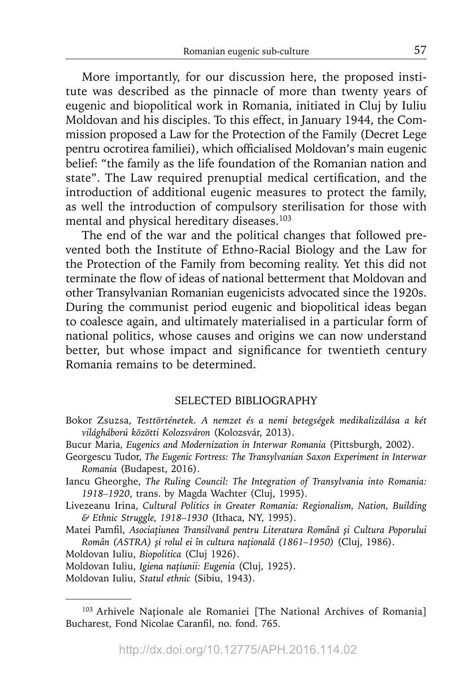More importantly, for our discussion here, the proposed institute was described as the pinnacle of more than twenty years of eugenic and biopolitical work in Romania, initiated in Cluj by Iuliu Moldovan and his disciples. To this effect, in January 1944, the Commission proposed a Law for the Protection of the Family (Decret Lege pentru ocrotirea familiei), which officialised Moldovan's main eugenic belief: "the family as the life foundation of the Romanian nation and state". The Law required prenuptial medical certification, and the introduction of additional eugenic measures to protect the family, as well the introduction of compulsory sterilisation for those with mental and physical hereditary diseases.<sup>103</sup>

The end of the war and the political changes that followed prevented both the Institute of Ethno-Racial Biology and the Law for the Protection of the Family from becoming reality. Yet this did not terminate the flow of ideas of national betterment that Moldovan and other Transylvanian Romanian eugenicists advocated since the 1920s. During the communist period eugenic and biopolitical ideas began to coalesce again, and ultimately materialised in a particular form of national politics, whose causes and origins we can now understand better, but whose impact and significance for twentieth century Romania remains to be determined.

### SELECTED BIBLIOGRAPHY

- Bokor Zsuzsa, *Testtörténetek. A nemzet és a nemi betegségek medikalizálása a két világháború közötti Kolozsváron* (Kolozsvár, 2013).
- Bucur Maria, *Eugenics and Modernization in Interwar Romania* (Pittsburgh, 2002).
- Georgescu Tudor, *The Eugenic Fortress: The Transylvanian Saxon Experiment in Interwar Romania* (Budapest, 2016).
- Iancu Gheorghe, *The Ruling Council: The Integration of Transylvania into Romania: 1918–1920*, trans. by Magda Wachter (Cluj, 1995).
- Livezeanu Irina, *Cultural Politics in Greater Romania: Regionalism, Nation, Building & Ethnic Struggle, 1918–1930* (Ithaca, NY, 1995).
- Matei Pamfi l, *Asociaţiunea Transilvană pentru Literatura Română şi Cultura Poporului Român (ASTRA) şi rolul ei în cultura naţională (1861–1950)* (Cluj, 1986).
- Moldovan Iuliu, *Biopolitica* (Cluj 1926).
- Moldovan Iuliu, *Igiena naţiunii: Eugenia* (Cluj, 1925).
- Moldovan Iuliu, *Statul ethnic* (Sibiu, 1943).

<sup>&</sup>lt;sup>103</sup> Arhivele Naționale ale Romaniei [The National Archives of Romania] Bucharest, Fond Nicolae Caranfil, no. fond. 765.